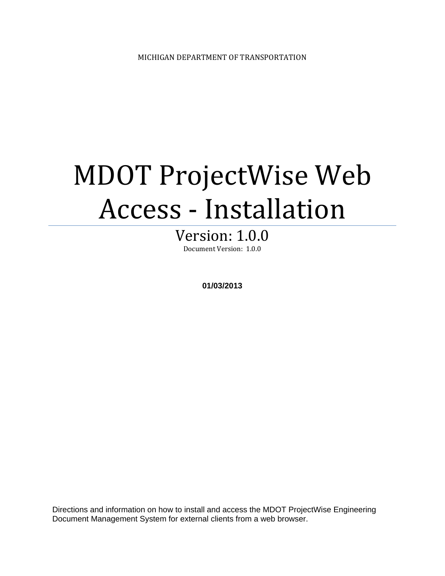# MDOT ProjectWise Web Access - Installation

## Version: 1.0.0

Document Version: 1.0.0

**01/03/2013** 

Directions and information on how to install and access the MDOT ProjectWise Engineering Document Management System for external clients from a web browser.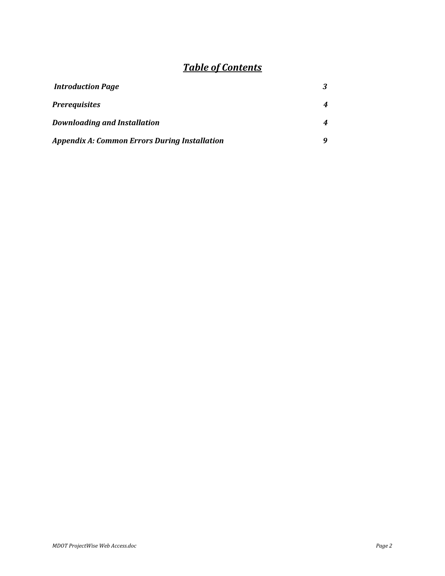## *Table of Contents*

| <b>Introduction Page</b>                             |   |
|------------------------------------------------------|---|
| <b>Prerequisites</b>                                 | 4 |
| <b>Downloading and Installation</b>                  | 4 |
| <b>Appendix A: Common Errors During Installation</b> |   |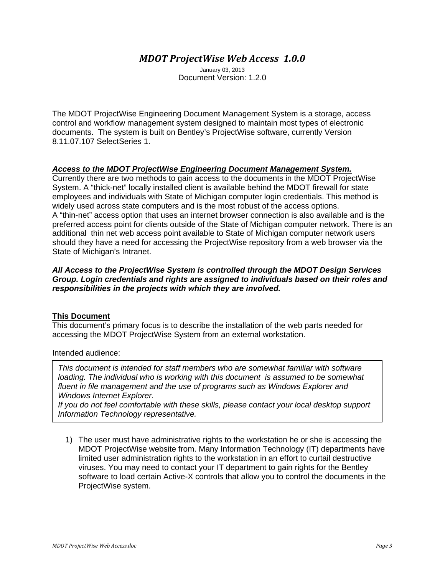#### *MDOT ProjectWise Web Access 1.0.0*

January 03, 2013 Document Version: 1.2.0

The MDOT ProjectWise Engineering Document Management System is a storage, access control and workflow management system designed to maintain most types of electronic documents. The system is built on Bentley's ProjectWise software, currently Version 8.11.07.107 SelectSeries 1.

#### *Access to the MDOT ProjectWise Engineering Document Management System.*

Currently there are two methods to gain access to the documents in the MDOT ProjectWise System. A "thick-net" locally installed client is available behind the MDOT firewall for state employees and individuals with State of Michigan computer login credentials. This method is widely used across state computers and is the most robust of the access options. A "thin-net" access option that uses an internet browser connection is also available and is the preferred access point for clients outside of the State of Michigan computer network. There is an additional thin net web access point available to State of Michigan computer network users should they have a need for accessing the ProjectWise repository from a web browser via the State of Michigan's Intranet.

#### *All Access to the ProjectWise System is controlled through the MDOT Design Services Group. Login credentials and rights are assigned to individuals based on their roles and responsibilities in the projects with which they are involved.*

#### **This Document**

This document's primary focus is to describe the installation of the web parts needed for accessing the MDOT ProjectWise System from an external workstation.

#### Intended audience:

*This document is intended for staff members who are somewhat familiar with software loading. The individual who is working with this document is assumed to be somewhat fluent in file management and the use of programs such as Windows Explorer and Windows Internet Explorer.* 

*If you do not leer comfortable with these in you do not leer comfortable with these If you do not feel comfortable with these skills, please contact your local desktop support* 

1) The user must have administrative rights to the workstation he or she is accessing the MDOT ProjectWise website from. Many Information Technology (IT) departments have limited user administration rights to the workstation in an effort to curtail destructive viruses. You may need to contact your IT department to gain rights for the Bentley software to load certain Active-X controls that allow you to control the documents in the ProjectWise system.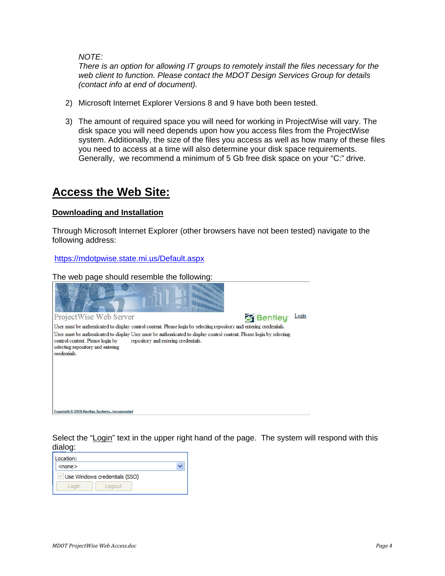*NOTE:* 

*There is an option for allowing IT groups to remotely install the files necessary for the web client to function. Please contact the MDOT Design Services Group for details (contact info at end of document).* 

- 2) Microsoft Internet Explorer Versions 8 and 9 have both been tested.
- 3) The amount of required space you will need for working in ProjectWise will vary. The disk space you will need depends upon how you access files from the ProjectWise system. Additionally, the size of the files you access as well as how many of these files you need to access at a time will also determine your disk space requirements. Generally, we recommend a minimum of 5 Gb free disk space on your "C:" drive.

### **Access the Web Site:**

#### **Downloading and Installation**

Through Microsoft Internet Explorer (other browsers have not been tested) navigate to the following address:

https://mdotpwise.state.mi.us/Default.aspx

The web page should resemble the following:



Select the "Login" text in the upper right hand of the page. The system will respond with this dialog:

| Location:    |                               |  |
|--------------|-------------------------------|--|
| $<$ none $>$ |                               |  |
|              | Use Windows credentials (SSO) |  |
| Login        | Logout                        |  |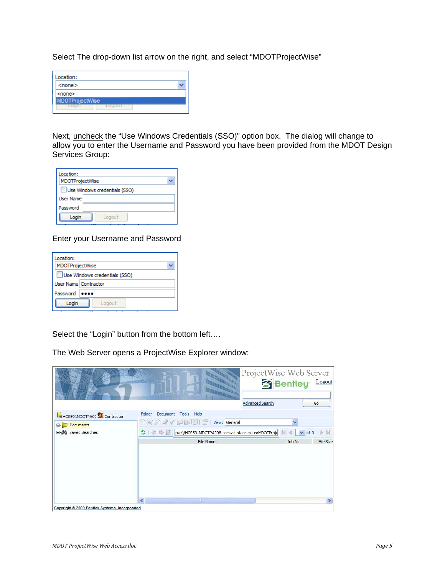Select The drop-down list arrow on the right, and select "MDOTProjectWise"

| Location:              |  |
|------------------------|--|
| $<$ none $>$           |  |
| ≺none>                 |  |
| <b>MDOTProjectWise</b> |  |
|                        |  |

Next, uncheck the "Use Windows Credentials (SSO)" option box. The dialog will change to allow you to enter the Username and Password you have been provided from the MDOT Design Services Group:

| Location:        |                               |
|------------------|-------------------------------|
| MDOTProjectWise  |                               |
|                  | Use Windows credentials (SSO) |
| <b>User Name</b> |                               |
| Password         |                               |
| Login            | Logout                        |

#### Enter your Username and Password

| Location:<br>MDOTProjectWise |                               |
|------------------------------|-------------------------------|
|                              | Use Windows credentials (SSO) |
| User Name Contractor         |                               |
| Password                     |                               |
| Login                        | Logout                        |

Select the "Login" button from the bottom left….

The Web Server opens a ProjectWise Explorer window:

|                                                                             | Advanced Search                                                                                                                          | ProjectWise Web Server<br><b>Bentley</b> Logout<br>Go |
|-----------------------------------------------------------------------------|------------------------------------------------------------------------------------------------------------------------------------------|-------------------------------------------------------|
| HCS591MDOTPA00 Contractor<br>Documents<br>Œ.<br><b>El Ma</b> Saved Searches | Folder<br>Document<br>Tools Help<br><b>■ シ</b> √ レ 【 ■ ■   ™   View: General<br>pw:\\HCS591MDOTPA008.som.ad.state.mi.us:MDOTProje<br>中中区 | Ÿ<br>of 0<br>M<br>$\checkmark$                        |
|                                                                             | File Name                                                                                                                                | File Size<br>Job No                                   |
| Copyright © 2009 Bentley Systems, Incorporated                              | <b>HILL</b>                                                                                                                              |                                                       |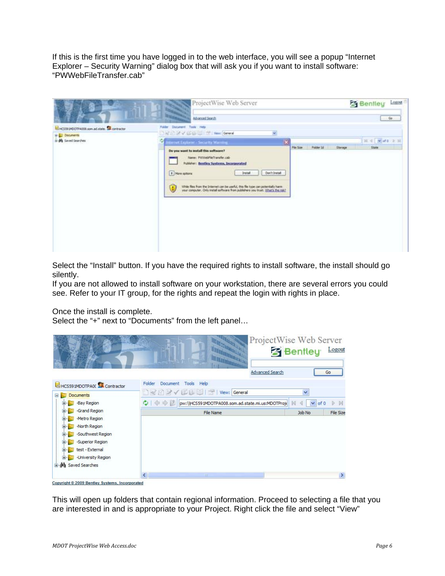If this is the first time you have logged in to the web interface, you will see a popup "Internet Explorer – Security Warning" dialog box that will ask you if you want to install software: "PWWebFileTransfer.cab"

| ĸS.                                                                                               | ProjectWise Web Server<br><b>Children</b><br><b>Since</b>                                                                                                                                                                                                                     |           |                  |         | <b>S</b> Bentley                          | Logour<br>$-66$ |
|---------------------------------------------------------------------------------------------------|-------------------------------------------------------------------------------------------------------------------------------------------------------------------------------------------------------------------------------------------------------------------------------|-----------|------------------|---------|-------------------------------------------|-----------------|
| <b>LEHCSSEIPOOTPA008.son.ad.state. A contractor</b><br><b>B-</b> Documents<br>in M Smitd Searches | Advanced Search<br>Folder Document Tools Help-<br>THE EX OF LEWIS CO., LANSING CONTRACT<br>×<br>$\mathbf x$<br>Merret Explorer - Security Warring<br>w<br>Do you want to install this software?<br>Name: PittitebfileTransfer.cab<br>Publisher: Bentley Systems, Incorporated | Pile Size | <b>Polder Id</b> | Storage | $H = \frac{1}{2}$ and $\theta$ .<br>State |                 |
|                                                                                                   | Don't Instal<br># Mare riptions<br><b>J</b> retail<br>While files from the Internet can be useful, this file type can potentially harm<br>your computer. Only install software from publishers you trust. What's the rate?<br>U.                                              |           |                  |         |                                           |                 |

Select the "Install" button. If you have the required rights to install software, the install should go silently.

If you are not allowed to install software on your workstation, there are several errors you could see. Refer to your IT group, for the rights and repeat the login with rights in place.

Once the install is complete.

Select the "+" next to "Documents" from the left panel…

|                                                                                                                                                    | <b>Advanced Search</b>                                                                       | ProjectWise Web Server<br><b>3</b> Bentley<br>Logout<br>Go |
|----------------------------------------------------------------------------------------------------------------------------------------------------|----------------------------------------------------------------------------------------------|------------------------------------------------------------|
| HCS591MDOTPA00 Contractor                                                                                                                          | Folder<br>Document<br>Tools Help                                                             |                                                            |
| Documents<br>$\Box$                                                                                                                                | <b>DRAWELLY</b> View: General                                                                | $\overline{\mathbf{v}}$                                    |
| -Bay Region<br>田                                                                                                                                   | $Q$ $\Leftrightarrow$ $\Rightarrow$ $D$<br>pw:\\HCS591MDOTPA008.som.ad.state.mi.us:MDOTProje | $\vee$ of 0<br>N<br>K                                      |
| -Grand Region                                                                                                                                      | File Name                                                                                    | File Size<br>Job No                                        |
| -Metro Region<br>-North Region<br>-Southwest Region<br>-Superior Region<br>test - External<br>田<br>-University Region<br><b>E A</b> Saved Searches | $\mathop{\mathrm{III}}\nolimits$                                                             | $\rightarrow$                                              |

This will open up folders that contain regional information. Proceed to selecting a file that you are interested in and is appropriate to your Project. Right click the file and select "View"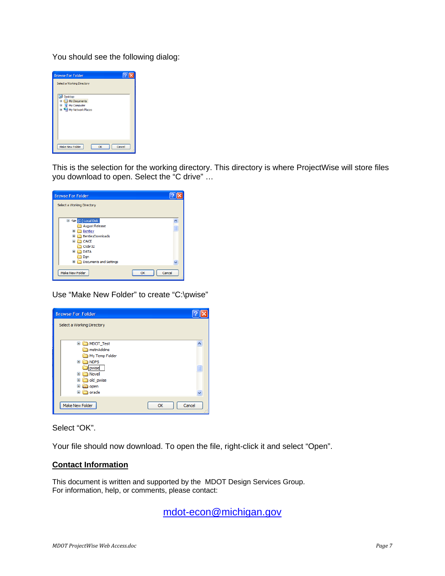You should see the following dialog:



This is the selection for the working directory. This directory is where ProjectWise will store files you download to open. Select the "C drive" …



Use "Make New Folder" to create "C:\pwise"

| <b>Browse For Folder</b>                                                                                                                                                                                               |              |
|------------------------------------------------------------------------------------------------------------------------------------------------------------------------------------------------------------------------|--------------|
| Select a Working Directory                                                                                                                                                                                             |              |
| $\mathbf{H}$<br>MDOT_Test<br>mstnAddins<br>My Temp Folder<br>$\mathbf \mathbf \Xi$<br><b>NDPS</b><br>pwise<br>Novell<br>$\mathbf \Xi$<br>old_pwise<br>$\boxplus$<br>$\mathbf \Xi$<br>a open<br>oracle<br>$\mathbf \Xi$ | E            |
| Make New Folder                                                                                                                                                                                                        | Cancel<br>OK |

Select "OK".

Your file should now download. To open the file, right-click it and select "Open".

#### **Contact Information**

This document is written and supported by the MDOT Design Services Group. For information, help, or comments, please contact:

mdot-econ@michigan.gov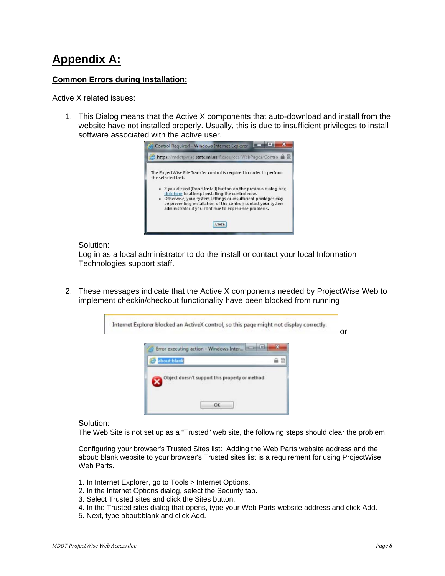## **Appendix A:**

#### **Common Errors during Installation:**

Active X related issues:

1. This Dialog means that the Active X components that auto-download and install from the website have not installed properly. Usually, this is due to insufficient privileges to install software associated with the active user.



#### Solution:

Log in as a local administrator to do the install or contact your local Information Technologies support staff.

2. These messages indicate that the Active X components needed by ProjectWise Web to implement checkin/checkout functionality have been blocked from running



Solution:

The Web Site is not set up as a "Trusted" web site, the following steps should clear the problem.

Configuring your browser's Trusted Sites list: Adding the Web Parts website address and the about: blank website to your browser's Trusted sites list is a requirement for using ProjectWise Web Parts.

- 1. In Internet Explorer, go to Tools > Internet Options.
- 2. In the Internet Options dialog, select the Security tab.
- 3. Select Trusted sites and click the Sites button.
- 4. In the Trusted sites dialog that opens, type your Web Parts website address and click Add.
- 5. Next, type about:blank and click Add.